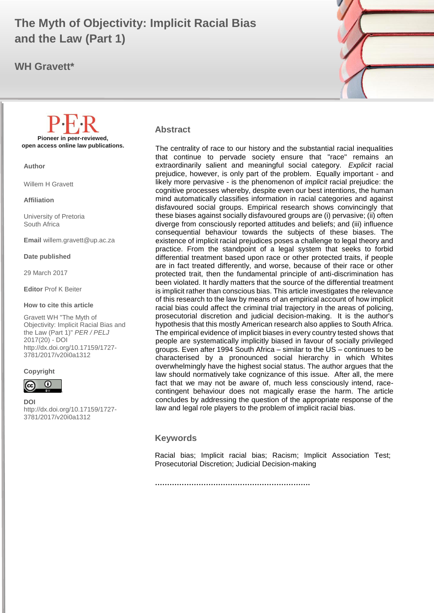# **The Myth of Objectivity: Implicit Racial Bias and the Law (Part 1)**

**WH Gravett\***



#### **Abstract**

The centrality of race to our history and the substantial racial inequalities that continue to pervade society ensure that "race" remains an extraordinarily salient and meaningful social category. *Explicit* racial prejudice, however, is only part of the problem. Equally important - and likely more pervasive - is the phenomenon of *implicit* racial prejudice: the cognitive processes whereby, despite even our best intentions, the human mind automatically classifies information in racial categories and against disfavoured social groups. Empirical research shows convincingly that these biases against socially disfavoured groups are (i) pervasive; (ii) often diverge from consciously reported attitudes and beliefs; and (iii) influence consequential behaviour towards the subjects of these biases. The existence of implicit racial prejudices poses a challenge to legal theory and practice. From the standpoint of a legal system that seeks to forbid differential treatment based upon race or other protected traits, if people are in fact treated differently, and worse, because of their race or other protected trait, then the fundamental principle of anti-discrimination has been violated. It hardly matters that the source of the differential treatment is implicit rather than conscious bias. This article investigates the relevance of this research to the law by means of an empirical account of how implicit racial bias could affect the criminal trial trajectory in the areas of policing, prosecutorial discretion and judicial decision-making. It is the author's hypothesis that this mostly American research also applies to South Africa. The empirical evidence of implicit biases in every country tested shows that people are systematically implicitly biased in favour of socially privileged groups. Even after 1994 South Africa – similar to the US – continues to be characterised by a pronounced social hierarchy in which Whites overwhelmingly have the highest social status. The author argues that the law should normatively take cognizance of this issue. After all, the mere fact that we may not be aware of, much less consciously intend, racecontingent behaviour does not magically erase the harm. The article concludes by addressing the question of the appropriate response of the law and legal role players to the problem of implicit racial bias.

#### **Keywords**

Racial bias; Implicit racial bias; Racism; Implicit Association Test; Prosecutorial Discretion; Judicial Decision-making

**Pioneer in peer-reviewed, open access online law publications.**

**Author**

Willem H Gravett

**Affiliation**

University of Pretoria South Africa

**Email** willem.gravett@up.ac.za

**Date published**

29 March 2017

**Editor** Prof K Beiter

**How to cite this article** 

Gravett WH "The Myth of Objectivity: Implicit Racial Bias and the Law (Part 1)" *PER / PELJ* 2017(20) - DOI http://dx.doi.org/10.17159/1727- 3781/2017/v20i0a[1312](http://journals.assaf.org.za/index.php/per/editor/submission/1160) 

#### **Copyright**



**DOI**  http://dx.doi.org/10.17159/1727- 3781/2017/v20i0a[1312](http://journals.assaf.org.za/index.php/per/editor/submission/1160)

**……………………………………………………….**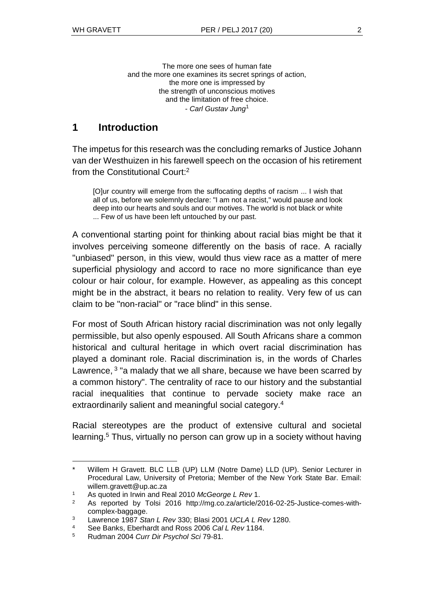The more one sees of human fate and the more one examines its secret springs of action, the more one is impressed by the strength of unconscious motives and the limitation of free choice. - *Carl Gustav Jung*<sup>1</sup>

### **1 Introduction**

The impetus for this research was the concluding remarks of Justice Johann van der Westhuizen in his farewell speech on the occasion of his retirement from the Constitutional Court:<sup>2</sup>

[O]ur country will emerge from the suffocating depths of racism ... I wish that all of us, before we solemnly declare: "I am not a racist," would pause and look deep into our hearts and souls and our motives. The world is not black or white ... Few of us have been left untouched by our past.

A conventional starting point for thinking about racial bias might be that it involves perceiving someone differently on the basis of race. A racially "unbiased" person, in this view, would thus view race as a matter of mere superficial physiology and accord to race no more significance than eye colour or hair colour, for example. However, as appealing as this concept might be in the abstract, it bears no relation to reality. Very few of us can claim to be "non-racial" or "race blind" in this sense.

For most of South African history racial discrimination was not only legally permissible, but also openly espoused. All South Africans share a common historical and cultural heritage in which overt racial discrimination has played a dominant role. Racial discrimination is, in the words of Charles Lawrence, <sup>3</sup> "a malady that we all share, because we have been scarred by a common history". The centrality of race to our history and the substantial racial inequalities that continue to pervade society make race an extraordinarily salient and meaningful social category.<sup>4</sup>

Racial stereotypes are the product of extensive cultural and societal learning.<sup>5</sup> Thus, virtually no person can grow up in a society without having

l Willem H Gravett. BLC LLB (UP) LLM (Notre Dame) LLD (UP). Senior Lecturer in Procedural Law, University of Pretoria; Member of the New York State Bar. Email: willem.gravett@up.ac.za

<sup>1</sup> As quoted in Irwin and Real 2010 *McGeorge L Rev* 1.

<sup>2</sup> As reported by Tolsi 2016 [http://mg.co.za/article/2016-02-25-Justice-comes-](http://mg.co.za/article/2016-02-25-Justice-comes)withcomplex-baggage.

<sup>3</sup> Lawrence 1987 *Stan L Rev* 330; Blasi 2001 *UCLA L Rev* 1280.

<sup>4</sup> See Banks, Eberhardt and Ross 2006 *Cal L Rev* 1184.

<sup>5</sup> Rudman 2004 *Curr Dir Psychol Sci* 79-81.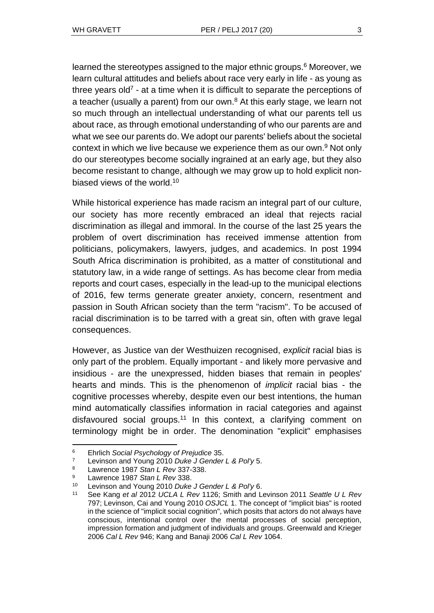learned the stereotypes assigned to the major ethnic groups.<sup>6</sup> Moreover, we learn cultural attitudes and beliefs about race very early in life - as young as three years old<sup>7</sup> - at a time when it is difficult to separate the perceptions of a teacher (usually a parent) from our own. $8$  At this early stage, we learn not so much through an intellectual understanding of what our parents tell us about race, as through emotional understanding of who our parents are and what we see our parents do. We adopt our parents' beliefs about the societal context in which we live because we experience them as our own.<sup>9</sup> Not only do our stereotypes become socially ingrained at an early age, but they also become resistant to change, although we may grow up to hold explicit nonbiased views of the world.<sup>10</sup>

While historical experience has made racism an integral part of our culture, our society has more recently embraced an ideal that rejects racial discrimination as illegal and immoral. In the course of the last 25 years the problem of overt discrimination has received immense attention from politicians, policymakers, lawyers, judges, and academics. In post 1994 South Africa discrimination is prohibited, as a matter of constitutional and statutory law, in a wide range of settings. As has become clear from media reports and court cases, especially in the lead-up to the municipal elections of 2016, few terms generate greater anxiety, concern, resentment and passion in South African society than the term "racism". To be accused of racial discrimination is to be tarred with a great sin, often with grave legal consequences.

However, as Justice van der Westhuizen recognised, *explicit* racial bias is only part of the problem. Equally important - and likely more pervasive and insidious - are the unexpressed, hidden biases that remain in peoples' hearts and minds. This is the phenomenon of *implicit* racial bias - the cognitive processes whereby, despite even our best intentions, the human mind automatically classifies information in racial categories and against disfavoured social groups.<sup>11</sup> In this context, a clarifying comment on terminology might be in order. The denomination "explicit" emphasises

<sup>6</sup> Ehrlich *Social Psychology of Prejudice* 35.

<sup>7</sup> Levinson and Young 2010 *Duke J Gender L & Pol'y* 5.

<sup>8</sup> Lawrence 1987 *Stan L Rev* 337-338.

<sup>9</sup> Lawrence 1987 *Stan L Rev* 338.

<sup>10</sup> Levinson and Young 2010 *Duke J Gender L & Pol'y* 6.

<sup>11</sup> See Kang *et al* 2012 *UCLA L Rev* 1126; Smith and Levinson 2011 *Seattle U L Rev* 797; Levinson, Cai and Young 2010 *OSJCL* 1. The concept of "implicit bias" is rooted in the science of "implicit social cognition", which posits that actors do not always have conscious, intentional control over the mental processes of social perception, impression formation and judgment of individuals and groups. Greenwald and Krieger 2006 *Cal L Rev* 946; Kang and Banaji 2006 *Cal L Rev* 1064.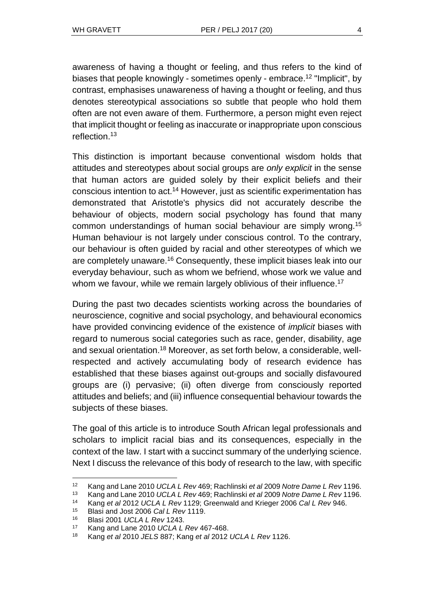awareness of having a thought or feeling, and thus refers to the kind of biases that people knowingly - sometimes openly - embrace.<sup>12</sup> "Implicit", by contrast, emphasises unawareness of having a thought or feeling, and thus denotes stereotypical associations so subtle that people who hold them often are not even aware of them. Furthermore, a person might even reject that implicit thought or feeling as inaccurate or inappropriate upon conscious reflection.<sup>13</sup>

This distinction is important because conventional wisdom holds that attitudes and stereotypes about social groups are *only explicit* in the sense that human actors are guided solely by their explicit beliefs and their conscious intention to act.<sup>14</sup> However, just as scientific experimentation has demonstrated that Aristotle's physics did not accurately describe the behaviour of objects, modern social psychology has found that many common understandings of human social behaviour are simply wrong.<sup>15</sup> Human behaviour is not largely under conscious control. To the contrary, our behaviour is often guided by racial and other stereotypes of which we are completely unaware.<sup>16</sup> Consequently, these implicit biases leak into our everyday behaviour, such as whom we befriend, whose work we value and whom we favour, while we remain largely oblivious of their influence.<sup>17</sup>

During the past two decades scientists working across the boundaries of neuroscience, cognitive and social psychology, and behavioural economics have provided convincing evidence of the existence of *implicit* biases with regard to numerous social categories such as race, gender, disability, age and sexual orientation.<sup>18</sup> Moreover, as set forth below, a considerable, wellrespected and actively accumulating body of research evidence has established that these biases against out-groups and socially disfavoured groups are (i) pervasive; (ii) often diverge from consciously reported attitudes and beliefs; and (iii) influence consequential behaviour towards the subjects of these biases.

The goal of this article is to introduce South African legal professionals and scholars to implicit racial bias and its consequences, especially in the context of the law. I start with a succinct summary of the underlying science. Next I discuss the relevance of this body of research to the law, with specific

<sup>12</sup> Kang and Lane 2010 *UCLA L Rev* 469; Rachlinski *et al* 2009 *Notre Dame L Rev* 1196.

<sup>13</sup> Kang and Lane 2010 *UCLA L Rev* 469; Rachlinski *et al* 2009 *Notre Dame L Rev* 1196.

<sup>14</sup> Kang *et al* 2012 *UCLA L Rev* 1129; Greenwald and Krieger 2006 *Cal L Rev* 946.

<sup>15</sup> Blasi and Jost 2006 *Cal L Rev* 1119.

<sup>16</sup> Blasi 2001 *UCLA L Rev* 1243.

<sup>17</sup> Kang and Lane 2010 *UCLA L Rev* 467-468.

<sup>18</sup> Kang *et al* 2010 *JELS* 887; Kang *et al* 2012 *UCLA L Rev* 1126.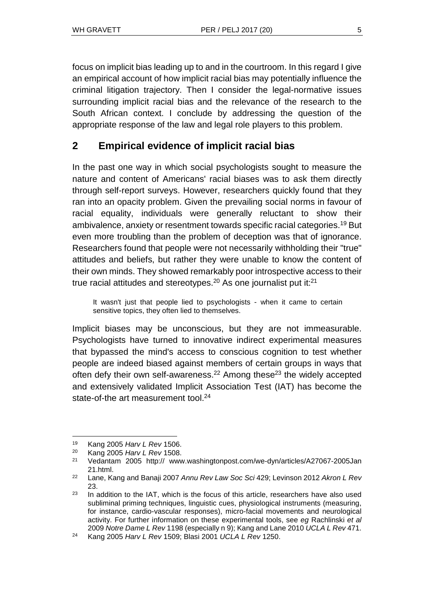focus on implicit bias leading up to and in the courtroom. In this regard I give an empirical account of how implicit racial bias may potentially influence the criminal litigation trajectory. Then I consider the legal-normative issues surrounding implicit racial bias and the relevance of the research to the South African context. I conclude by addressing the question of the appropriate response of the law and legal role players to this problem.

### **2 Empirical evidence of implicit racial bias**

In the past one way in which social psychologists sought to measure the nature and content of Americans' racial biases was to ask them directly through self-report surveys. However, researchers quickly found that they ran into an opacity problem. Given the prevailing social norms in favour of racial equality, individuals were generally reluctant to show their ambivalence, anxiety or resentment towards specific racial categories.<sup>19</sup> But even more troubling than the problem of deception was that of ignorance. Researchers found that people were not necessarily withholding their "true" attitudes and beliefs, but rather they were unable to know the content of their own minds. They showed remarkably poor introspective access to their true racial attitudes and stereotypes.<sup>20</sup> As one journalist put it: $21$ 

It wasn't just that people lied to psychologists - when it came to certain sensitive topics, they often lied to themselves.

Implicit biases may be unconscious, but they are not immeasurable. Psychologists have turned to innovative indirect experimental measures that bypassed the mind's access to conscious cognition to test whether people are indeed biased against members of certain groups in ways that often defy their own self-awareness.<sup>22</sup> Among these<sup>23</sup> the widely accepted and extensively validated Implicit Association Test (IAT) has become the state-of-the art measurement tool.<sup>24</sup>

 $\overline{a}$ 

<sup>19</sup> Kang 2005 *Harv L Rev* 1506.

<sup>20</sup> Kang 2005 *Harv L Rev* 1508.

<sup>21</sup> Vedantam 2005 http:// www.washingtonpost.com/we-dyn/articles/A27067-2005Jan 21.html.

<sup>22</sup> Lane, Kang and Banaji 2007 *Annu Rev Law Soc Sci* 429; Levinson 2012 *Akron L Rev* 23.

 $23$  In addition to the IAT, which is the focus of this article, researchers have also used subliminal priming techniques, linguistic cues, physiological instruments (measuring, for instance, cardio-vascular responses), micro-facial movements and neurological activity. For further information on these experimental tools, see *eg* Rachlinski *et al* 2009 *Notre Dame L Rev* 1198 (especially n 9); Kang and Lane 2010 *UCLA L Rev* 471.

<sup>24</sup> Kang 2005 *Harv L Rev* 1509; Blasi 2001 *UCLA L Rev* 1250.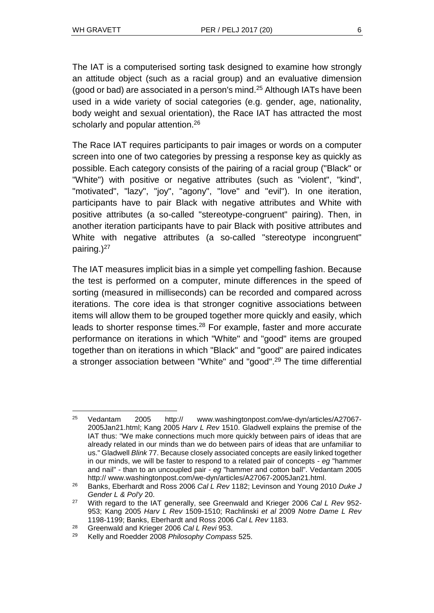The IAT is a computerised sorting task designed to examine how strongly an attitude object (such as a racial group) and an evaluative dimension (good or bad) are associated in a person's mind.<sup>25</sup> Although IATs have been used in a wide variety of social categories (e.g. gender, age, nationality, body weight and sexual orientation), the Race IAT has attracted the most scholarly and popular attention.<sup>26</sup>

The Race IAT requires participants to pair images or words on a computer screen into one of two categories by pressing a response key as quickly as possible. Each category consists of the pairing of a racial group ("Black" or "White") with positive or negative attributes (such as "violent", "kind", "motivated", "lazy", "joy", "agony", "love" and "evil"). In one iteration, participants have to pair Black with negative attributes and White with positive attributes (a so-called "stereotype-congruent" pairing). Then, in another iteration participants have to pair Black with positive attributes and White with negative attributes (a so-called "stereotype incongruent" pairing.) $27$ 

The IAT measures implicit bias in a simple yet compelling fashion. Because the test is performed on a computer, minute differences in the speed of sorting (measured in milliseconds) can be recorded and compared across iterations. The core idea is that stronger cognitive associations between items will allow them to be grouped together more quickly and easily, which leads to shorter response times.<sup>28</sup> For example, faster and more accurate performance on iterations in which "White" and "good" items are grouped together than on iterations in which "Black" and "good" are paired indicates a stronger association between "White" and "good".<sup>29</sup> The time differential

l <sup>25</sup> Vedantam 2005 http:// [www.washingtonpost.com/we-dyn/articles/A27067-](http://www.washingtonpost.com/we-dyn/articles/A27067-2005Jan21.html) [2005Jan21.html;](http://www.washingtonpost.com/we-dyn/articles/A27067-2005Jan21.html) Kang 2005 *Harv L Rev* 1510. Gladwell explains the premise of the IAT thus: "We make connections much more quickly between pairs of ideas that are already related in our minds than we do between pairs of ideas that are unfamiliar to us." Gladwell *Blink* 77. Because closely associated concepts are easily linked together in our minds, we will be faster to respond to a related pair of concepts - *eg* "hammer and nail" - than to an uncoupled pair - *eg* "hammer and cotton ball". Vedantam 2005 http:// [www.washingtonpost.com/we-dyn/articles/A27067-2005Jan21.html.](http://www.washingtonpost.com/we-dyn/articles/A27067-2005Jan21.html)

<sup>26</sup> Banks, Eberhardt and Ross 2006 *Cal L Rev* 1182; Levinson and Young 2010 *Duke J Gender L & Pol'y* 20.

<sup>27</sup> With regard to the IAT generally, see Greenwald and Krieger 2006 *Cal L Rev* 952- 953; Kang 2005 *Harv L Rev* 1509-1510; Rachlinski *et al* 2009 *Notre Dame L Rev* 1198-1199; Banks, Eberhardt and Ross 2006 *Cal L Rev* 1183.

<sup>28</sup> Greenwald and Krieger 2006 *Cal L Revi* 953.

<sup>29</sup> Kelly and Roedder 2008 *Philosophy Compass* 525.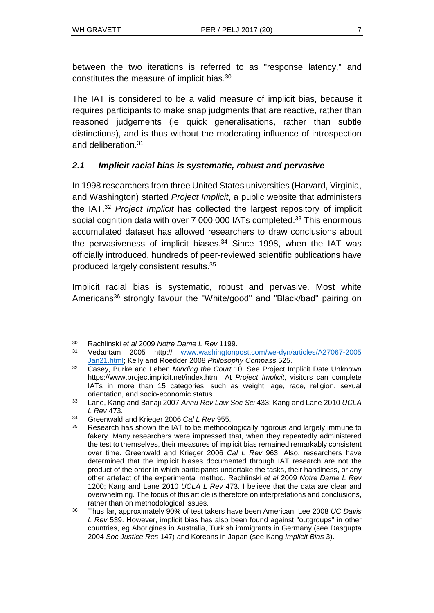between the two iterations is referred to as "response latency," and constitutes the measure of implicit bias.<sup>30</sup>

The IAT is considered to be a valid measure of implicit bias, because it requires participants to make snap judgments that are reactive, rather than reasoned judgements (ie quick generalisations, rather than subtle distinctions), and is thus without the moderating influence of introspection and deliberation.<sup>31</sup>

### *2.1 Implicit racial bias is systematic, robust and pervasive*

In 1998 researchers from three United States universities (Harvard, Virginia, and Washington) started *Project Implicit*, a public website that administers the IAT.<sup>32</sup> *Project Implicit* has collected the largest repository of implicit social cognition data with over 7 000 000 IATs completed.<sup>33</sup> This enormous accumulated dataset has allowed researchers to draw conclusions about the pervasiveness of implicit biases. $34$  Since 1998, when the IAT was officially introduced, hundreds of peer-reviewed scientific publications have produced largely consistent results.<sup>35</sup>

Implicit racial bias is systematic, robust and pervasive. Most white Americans<sup>36</sup> strongly favour the "White/good" and "Black/bad" pairing on

l <sup>30</sup> Rachlinski *et al* 2009 *Notre Dame L Rev* 1199.

<sup>31</sup> Vedantam 2005 http:// [www.washingtonpost.com/we-dyn/articles/A27067-2005](http://www.washingtonpost.com/we-dyn/articles/A27067-2005%0bJan21.html) [Jan21.html;](http://www.washingtonpost.com/we-dyn/articles/A27067-2005%0bJan21.html) Kelly and Roedder 2008 *Philosophy Compass* 525.

<sup>32</sup> Casey, Burke and Leben *Minding the Court* 10. See Project Implicit Date Unknown https://www.projectimplicit.net/index.html. At *Project Implicit*, visitors can complete IATs in more than 15 categories, such as weight, age, race, religion, sexual orientation, and socio-economic status.

<sup>33</sup> Lane, Kang and Banaji 2007 *Annu Rev Law Soc Sci* 433; Kang and Lane 2010 *UCLA L Rev* 473.

<sup>34</sup> Greenwald and Krieger 2006 *Cal L Rev* 955.

Research has shown the IAT to be methodologically rigorous and largely immune to fakery. Many researchers were impressed that, when they repeatedly administered the test to themselves, their measures of implicit bias remained remarkably consistent over time. Greenwald and Krieger 2006 *Cal L Rev* 963. Also, researchers have determined that the implicit biases documented through IAT research are not the product of the order in which participants undertake the tasks, their handiness, or any other artefact of the experimental method. Rachlinski *et al* 2009 *Notre Dame L Rev* 1200; Kang and Lane 2010 *UCLA L Rev* 473. I believe that the data are clear and overwhelming. The focus of this article is therefore on interpretations and conclusions, rather than on methodological issues.

<sup>36</sup> Thus far, approximately 90% of test takers have been American. Lee 2008 *UC Davis L Rev* 539. However, implicit bias has also been found against "outgroups" in other countries, eg Aborigines in Australia, Turkish immigrants in Germany (see Dasgupta 2004 *Soc Justice Res* 147) and Koreans in Japan (see Kang *Implicit Bias* 3).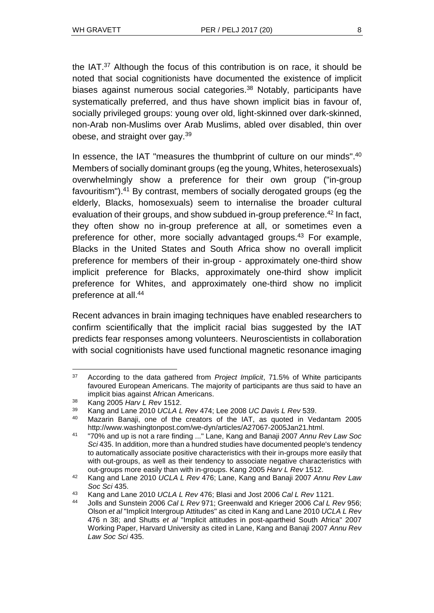the IAT.<sup>37</sup> Although the focus of this contribution is on race, it should be noted that social cognitionists have documented the existence of implicit biases against numerous social categories.<sup>38</sup> Notably, participants have systematically preferred, and thus have shown implicit bias in favour of, socially privileged groups: young over old, light-skinned over dark-skinned, non-Arab non-Muslims over Arab Muslims, abled over disabled, thin over obese, and straight over gay.<sup>39</sup>

In essence, the IAT "measures the thumbprint of culture on our minds".<sup>40</sup> Members of socially dominant groups (eg the young, Whites, heterosexuals) overwhelmingly show a preference for their own group ("in-group favouritism").<sup>41</sup> By contrast, members of socially derogated groups (eg the elderly, Blacks, homosexuals) seem to internalise the broader cultural evaluation of their groups, and show subdued in-group preference.<sup>42</sup> In fact, they often show no in-group preference at all, or sometimes even a preference for other, more socially advantaged groups.<sup>43</sup> For example, Blacks in the United States and South Africa show no overall implicit preference for members of their in-group - approximately one-third show implicit preference for Blacks, approximately one-third show implicit preference for Whites, and approximately one-third show no implicit preference at all.<sup>44</sup>

Recent advances in brain imaging techniques have enabled researchers to confirm scientifically that the implicit racial bias suggested by the IAT predicts fear responses among volunteers. Neuroscientists in collaboration with social cognitionists have used functional magnetic resonance imaging

l <sup>37</sup> According to the data gathered from *Project Implicit*, 71.5% of White participants favoured European Americans. The majority of participants are thus said to have an implicit bias against African Americans.

<sup>38</sup> Kang 2005 *Harv L Rev* 1512.

<sup>39</sup> Kang and Lane 2010 *UCLA L Rev* 474; Lee 2008 *UC Davis L Rev* 539.

<sup>40</sup> Mazarin Banaji, one of the creators of the IAT, as quoted in Vedantam 2005 http:/[/www.washingtonpost.com/we-dyn/articles/A27067-2005Jan21.html.](http://www.washingtonpost.com/we-dyn/articles/A27067-2005Jan21.html)

<sup>41</sup> "70% and up is not a rare finding ..." Lane, Kang and Banaji 2007 *Annu Rev Law Soc Sci* 435. In addition, more than a hundred studies have documented people's tendency to automatically associate positive characteristics with their in-groups more easily that with out-groups, as well as their tendency to associate negative characteristics with out-groups more easily than with in-groups. Kang 2005 *Harv L Rev* 1512.

<sup>42</sup> Kang and Lane 2010 *UCLA L Rev* 476; Lane, Kang and Banaji 2007 *Annu Rev Law Soc Sci* 435.

<sup>43</sup> Kang and Lane 2010 *UCLA L Rev* 476; Blasi and Jost 2006 *Cal L Rev* 1121.

<sup>44</sup> Jolls and Sunstein 2006 *Cal L Rev* 971; Greenwald and Krieger 2006 *Cal L Rev* 956; Olson *et al* "Implicit Intergroup Attitudes" as cited in Kang and Lane 2010 *UCLA L Rev* 476 n 38; and Shutts *et al* "Implicit attitudes in post-apartheid South Africa" 2007 Working Paper, Harvard University as cited in Lane, Kang and Banaji 2007 *Annu Rev Law Soc Sci* 435.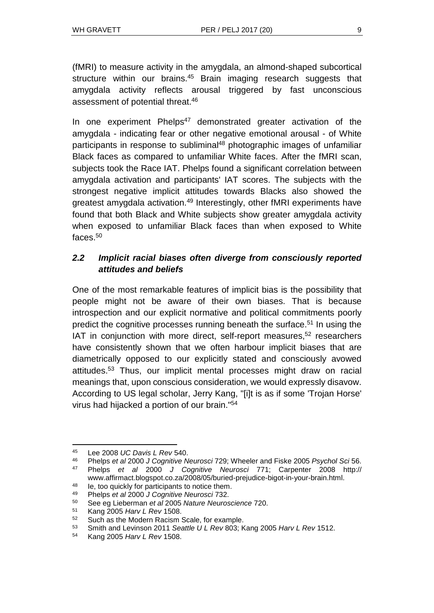(fMRI) to measure activity in the amygdala, an almond-shaped subcortical structure within our brains.<sup>45</sup> Brain imaging research suggests that amygdala activity reflects arousal triggered by fast unconscious assessment of potential threat.<sup>46</sup>

In one experiment Phelps<sup>47</sup> demonstrated greater activation of the amygdala - indicating fear or other negative emotional arousal - of White participants in response to subliminal<sup>48</sup> photographic images of unfamiliar Black faces as compared to unfamiliar White faces. After the fMRI scan, subjects took the Race IAT. Phelps found a significant correlation between amygdala activation and participants' IAT scores. The subjects with the strongest negative implicit attitudes towards Blacks also showed the greatest amygdala activation.<sup>49</sup> Interestingly, other fMRI experiments have found that both Black and White subjects show greater amygdala activity when exposed to unfamiliar Black faces than when exposed to White faces.<sup>50</sup>

#### *2.2 Implicit racial biases often diverge from consciously reported attitudes and beliefs*

One of the most remarkable features of implicit bias is the possibility that people might not be aware of their own biases. That is because introspection and our explicit normative and political commitments poorly predict the cognitive processes running beneath the surface.<sup>51</sup> In using the IAT in conjunction with more direct, self-report measures,<sup>52</sup> researchers have consistently shown that we often harbour implicit biases that are diametrically opposed to our explicitly stated and consciously avowed attitudes.<sup>53</sup> Thus, our implicit mental processes might draw on racial meanings that, upon conscious consideration, we would expressly disavow. According to US legal scholar, Jerry Kang, "[i]t is as if some 'Trojan Horse' virus had hijacked a portion of our brain."<sup>54</sup>

<sup>45</sup> Lee 2008 *UC Davis L Rev* 540.

<sup>46</sup> Phelps *et al* 2000 *J Cognitive Neurosci* 729; Wheeler and Fiske 2005 *Psychol Sci* 56.

<sup>47</sup> Phelps *et al* 2000 *J Cognitive Neurosci* 771; Carpenter 2008 http:// [www.affirmact.blogspot.co.za/2008/05/buried-prejudice-bigot-in-your-brain.html.](http://www.affirmact.blogspot.co.za/2008/05/buried-prejudice-bigot-in-your-brain.html)

<sup>48</sup> Ie, too quickly for participants to notice them.

<sup>49</sup> Phelps *et al* 2000 *J Cognitive Neurosci* 732.

<sup>50</sup> See eg Lieberman *et al* 2005 *Nature Neuroscience* 720.

<sup>51</sup> Kang 2005 *Harv L Rev* 1508.

<sup>52</sup> Such as the Modern Racism Scale, for example.

<sup>53</sup> Smith and Levinson 2011 *Seattle U L Rev* 803; Kang 2005 *Harv L Rev* 1512.

<sup>54</sup> Kang 2005 *Harv L Rev* 1508.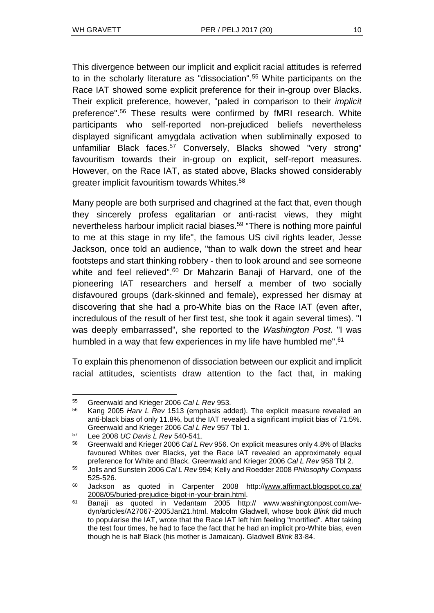This divergence between our implicit and explicit racial attitudes is referred to in the scholarly literature as "dissociation".<sup>55</sup> White participants on the Race IAT showed some explicit preference for their in-group over Blacks. Their explicit preference, however, "paled in comparison to their *implicit* preference".<sup>56</sup> These results were confirmed by fMRI research. White participants who self-reported non-prejudiced beliefs nevertheless displayed significant amygdala activation when subliminally exposed to unfamiliar Black faces.<sup>57</sup> Conversely, Blacks showed "very strong" favouritism towards their in-group on explicit, self-report measures. However, on the Race IAT, as stated above, Blacks showed considerably greater implicit favouritism towards Whites.<sup>58</sup>

Many people are both surprised and chagrined at the fact that, even though they sincerely profess egalitarian or anti-racist views, they might nevertheless harbour implicit racial biases.<sup>59</sup> "There is nothing more painful to me at this stage in my life", the famous US civil rights leader, Jesse Jackson, once told an audience, "than to walk down the street and hear footsteps and start thinking robbery - then to look around and see someone white and feel relieved".<sup>60</sup> Dr Mahzarin Banaji of Harvard, one of the pioneering IAT researchers and herself a member of two socially disfavoured groups (dark-skinned and female), expressed her dismay at discovering that she had a pro-White bias on the Race IAT (even after, incredulous of the result of her first test, she took it again several times). "I was deeply embarrassed", she reported to the *Washington Post*. "I was humbled in a way that few experiences in my life have humbled me".<sup>61</sup>

To explain this phenomenon of dissociation between our explicit and implicit racial attitudes, scientists draw attention to the fact that, in making

l <sup>55</sup> Greenwald and Krieger 2006 *Cal L Rev* 953.

<sup>56</sup> Kang 2005 *Harv L Rev* 1513 (emphasis added). The explicit measure revealed an anti-black bias of only 11.8%, but the IAT revealed a significant implicit bias of 71.5%. Greenwald and Krieger 2006 *Cal L Rev* 957 Tbl 1.

<sup>57</sup> Lee 2008 *UC Davis L Rev* 540-541.

<sup>58</sup> Greenwald and Krieger 2006 *Cal L Rev* 956. On explicit measures only 4.8% of Blacks favoured Whites over Blacks, yet the Race IAT revealed an approximately equal preference for White and Black. Greenwald and Krieger 2006 *Cal L Rev* 958 Tbl 2.

<sup>59</sup> Jolls and Sunstein 2006 *Cal L Rev* 994; Kelly and Roedder 2008 *Philosophy Compass* 525-526.

<sup>60</sup> Jackson as quoted in Carpenter 2008 http:/[/www.affirmact.blogspot.co.za/](http://www.affirmact.blogspot.co.za/2008/05/buried-prejudice-bigot-in-your-brain.html) [2008/05/buried-prejudice-bigot-in-your-brain.html.](http://www.affirmact.blogspot.co.za/2008/05/buried-prejudice-bigot-in-your-brain.html)

<sup>61</sup> Banaji as quoted in Vedantam 2005 http:// [www.washingtonpost.com/we](http://www.washingtonpost.com/we-dyn/articles/A27067-2005Jan21.html)[dyn/articles/A27067-2005Jan21.html.](http://www.washingtonpost.com/we-dyn/articles/A27067-2005Jan21.html) Malcolm Gladwell, whose book *Blink* did much to popularise the IAT, wrote that the Race IAT left him feeling "mortified". After taking the test four times, he had to face the fact that he had an implicit pro-White bias, even though he is half Black (his mother is Jamaican). Gladwell *Blink* 83-84.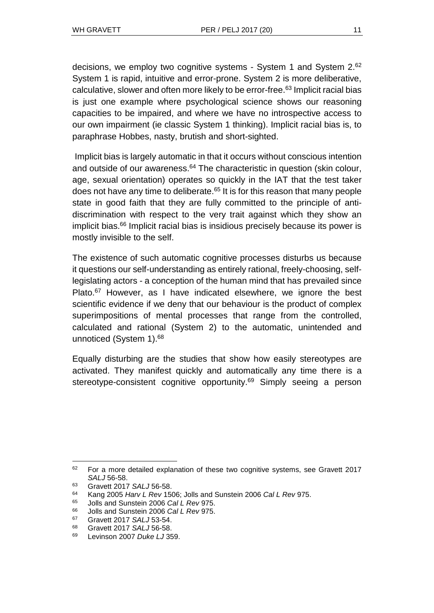decisions, we employ two cognitive systems - System 1 and System 2.<sup>62</sup> System 1 is rapid, intuitive and error-prone. System 2 is more deliberative, calculative, slower and often more likely to be error-free.<sup>63</sup> Implicit racial bias is just one example where psychological science shows our reasoning capacities to be impaired, and where we have no introspective access to our own impairment (ie classic System 1 thinking). Implicit racial bias is, to paraphrase Hobbes, nasty, brutish and short-sighted.

Implicit bias is largely automatic in that it occurs without conscious intention and outside of our awareness.<sup>64</sup> The characteristic in question (skin colour, age, sexual orientation) operates so quickly in the IAT that the test taker does not have any time to deliberate.<sup>65</sup> It is for this reason that many people state in good faith that they are fully committed to the principle of antidiscrimination with respect to the very trait against which they show an implicit bias.<sup>66</sup> Implicit racial bias is insidious precisely because its power is mostly invisible to the self.

The existence of such automatic cognitive processes disturbs us because it questions our self-understanding as entirely rational, freely-choosing, selflegislating actors - a conception of the human mind that has prevailed since Plato.<sup>67</sup> However, as I have indicated elsewhere, we ignore the best scientific evidence if we deny that our behaviour is the product of complex superimpositions of mental processes that range from the controlled, calculated and rational (System 2) to the automatic, unintended and unnoticed (System 1).<sup>68</sup>

Equally disturbing are the studies that show how easily stereotypes are activated. They manifest quickly and automatically any time there is a stereotype-consistent cognitive opportunity.<sup>69</sup> Simply seeing a person

 $62$  For a more detailed explanation of these two cognitive systems, see Gravett 2017 *SALJ* 56-58.

<sup>63</sup> Gravett 2017 *SALJ* 56-58.

<sup>64</sup> Kang 2005 *Harv L Rev* 1506; Jolls and Sunstein 2006 *Cal L Rev* 975.

<sup>65</sup> Jolls and Sunstein 2006 *Cal L Rev* 975.

<sup>66</sup> Jolls and Sunstein 2006 *Cal L Rev* 975.

<sup>67</sup> Gravett 2017 *SALJ* 53-54.

<sup>68</sup> Gravett 2017 *SALJ* 56-58.

<sup>69</sup> Levinson 2007 *Duke LJ* 359.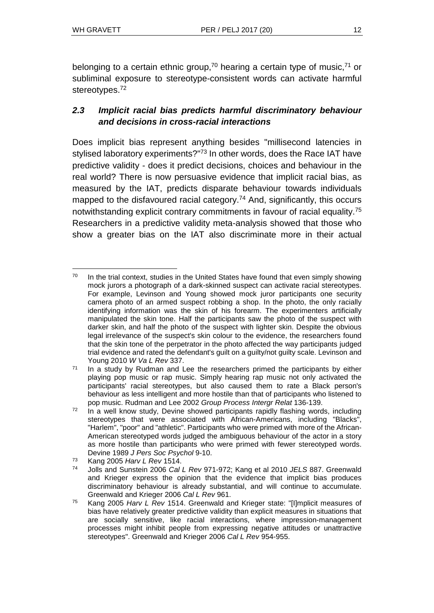belonging to a certain ethnic group,<sup>70</sup> hearing a certain type of music,<sup>71</sup> or subliminal exposure to stereotype-consistent words can activate harmful stereotypes.<sup>72</sup>

### *2.3 Implicit racial bias predicts harmful discriminatory behaviour and decisions in cross-racial interactions*

Does implicit bias represent anything besides "millisecond latencies in stylised laboratory experiments?"<sup>73</sup> In other words, does the Race IAT have predictive validity - does it predict decisions, choices and behaviour in the real world? There is now persuasive evidence that implicit racial bias, as measured by the IAT, predicts disparate behaviour towards individuals mapped to the disfavoured racial category.<sup>74</sup> And, significantly, this occurs notwithstanding explicit contrary commitments in favour of racial equality.<sup>75</sup> Researchers in a predictive validity meta-analysis showed that those who show a greater bias on the IAT also discriminate more in their actual

<sup>73</sup> Kang 2005 *Harv L Rev* 1514.

l  $70$  In the trial context, studies in the United States have found that even simply showing mock jurors a photograph of a dark-skinned suspect can activate racial stereotypes. For example, Levinson and Young showed mock juror participants one security camera photo of an armed suspect robbing a shop. In the photo, the only racially identifying information was the skin of his forearm. The experimenters artificially manipulated the skin tone. Half the participants saw the photo of the suspect with darker skin, and half the photo of the suspect with lighter skin. Despite the obvious legal irrelevance of the suspect's skin colour to the evidence, the researchers found that the skin tone of the perpetrator in the photo affected the way participants judged trial evidence and rated the defendant's guilt on a guilty/not guilty scale. Levinson and Young 2010 *W Va L Rev* 337.

 $71$  In a study by Rudman and Lee the researchers primed the participants by either playing pop music or rap music. Simply hearing rap music not only activated the participants' racial stereotypes, but also caused them to rate a Black person's behaviour as less intelligent and more hostile than that of participants who listened to pop music. Rudman and Lee 2002 *Group Process Intergr Relat* 136-139.

 $72$  In a well know study, Devine showed participants rapidly flashing words, including stereotypes that were associated with African-Americans, including "Blacks", "Harlem", "poor" and "athletic". Participants who were primed with more of the African-American stereotyped words judged the ambiguous behaviour of the actor in a story as more hostile than participants who were primed with fewer stereotyped words. Devine 1989 *J Pers Soc Psychol* 9-10.

<sup>74</sup> Jolls and Sunstein 2006 *Cal L Rev* 971-972; Kang et al 2010 *JELS* 887. Greenwald and Krieger express the opinion that the evidence that implicit bias produces discriminatory behaviour is already substantial, and will continue to accumulate. Greenwald and Krieger 2006 *Cal L Rev* 961.

<sup>75</sup> Kang 2005 *Harv L Rev* 1514. Greenwald and Krieger state: "[I]mplicit measures of bias have relatively greater predictive validity than explicit measures in situations that are socially sensitive, like racial interactions, where impression-management processes might inhibit people from expressing negative attitudes or unattractive stereotypes". Greenwald and Krieger 2006 *Cal L Rev* 954-955.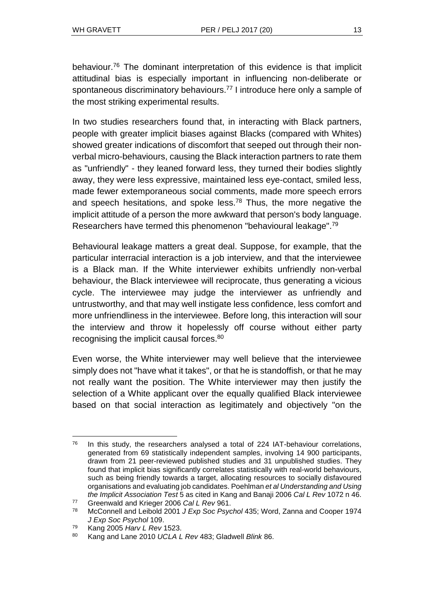behaviour.<sup>76</sup> The dominant interpretation of this evidence is that implicit attitudinal bias is especially important in influencing non-deliberate or spontaneous discriminatory behaviours.<sup>77</sup> I introduce here only a sample of the most striking experimental results.

In two studies researchers found that, in interacting with Black partners, people with greater implicit biases against Blacks (compared with Whites) showed greater indications of discomfort that seeped out through their nonverbal micro-behaviours, causing the Black interaction partners to rate them as "unfriendly" - they leaned forward less, they turned their bodies slightly away, they were less expressive, maintained less eye-contact, smiled less, made fewer extemporaneous social comments, made more speech errors and speech hesitations, and spoke less.<sup>78</sup> Thus, the more negative the implicit attitude of a person the more awkward that person's body language. Researchers have termed this phenomenon "behavioural leakage".<sup>79</sup>

Behavioural leakage matters a great deal. Suppose, for example, that the particular interracial interaction is a job interview, and that the interviewee is a Black man. If the White interviewer exhibits unfriendly non-verbal behaviour, the Black interviewee will reciprocate, thus generating a vicious cycle. The interviewee may judge the interviewer as unfriendly and untrustworthy, and that may well instigate less confidence, less comfort and more unfriendliness in the interviewee. Before long, this interaction will sour the interview and throw it hopelessly off course without either party recognising the implicit causal forces.<sup>80</sup>

Even worse, the White interviewer may well believe that the interviewee simply does not "have what it takes", or that he is standoffish, or that he may not really want the position. The White interviewer may then justify the selection of a White applicant over the equally qualified Black interviewee based on that social interaction as legitimately and objectively "on the

 $\overline{a}$  $76$  In this study, the researchers analysed a total of 224 IAT-behaviour correlations, generated from 69 statistically independent samples, involving 14 900 participants, drawn from 21 peer-reviewed published studies and 31 unpublished studies. They found that implicit bias significantly correlates statistically with real-world behaviours, such as being friendly towards a target, allocating resources to socially disfavoured organisations and evaluating job candidates. Poehlman *et al Understanding and Using the Implicit Association Test* 5 as cited in Kang and Banaji 2006 *Cal L Rev* 1072 n 46.

<sup>77</sup> Greenwald and Krieger 2006 *Cal L Rev* 961.

<sup>78</sup> McConnell and Leibold 2001 *J Exp Soc Psychol* 435; Word, Zanna and Cooper 1974 *J Exp Soc Psychol* 109.

<sup>79</sup> Kang 2005 *Harv L Rev* 1523.

<sup>80</sup> Kang and Lane 2010 *UCLA L Rev* 483; Gladwell *Blink* 86.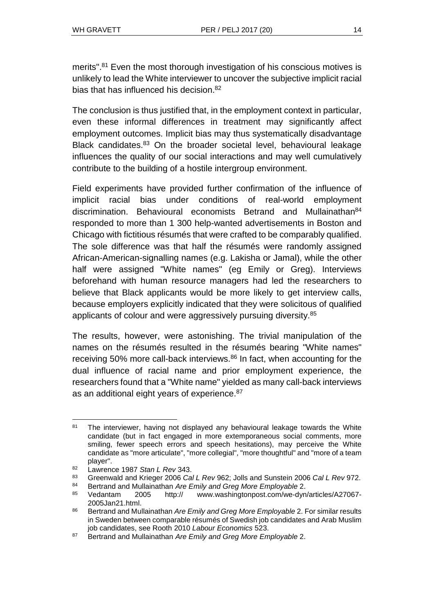merits".<sup>81</sup> Even the most thorough investigation of his conscious motives is unlikely to lead the White interviewer to uncover the subjective implicit racial bias that has influenced his decision.<sup>82</sup>

The conclusion is thus justified that, in the employment context in particular, even these informal differences in treatment may significantly affect employment outcomes. Implicit bias may thus systematically disadvantage Black candidates.<sup>83</sup> On the broader societal level, behavioural leakage influences the quality of our social interactions and may well cumulatively contribute to the building of a hostile intergroup environment.

Field experiments have provided further confirmation of the influence of implicit racial bias under conditions of real-world employment discrimination. Behavioural economists Betrand and Mullainathan<sup>84</sup> responded to more than 1 300 help-wanted advertisements in Boston and Chicago with fictitious résumés that were crafted to be comparably qualified. The sole difference was that half the résumés were randomly assigned African-American-signalling names (e.g. Lakisha or Jamal), while the other half were assigned "White names" (eg Emily or Greg). Interviews beforehand with human resource managers had led the researchers to believe that Black applicants would be more likely to get interview calls, because employers explicitly indicated that they were solicitous of qualified applicants of colour and were aggressively pursuing diversity.<sup>85</sup>

The results, however, were astonishing. The trivial manipulation of the names on the résumés resulted in the résumés bearing "White names" receiving 50% more call-back interviews.<sup>86</sup> In fact, when accounting for the dual influence of racial name and prior employment experience, the researchers found that a "White name" yielded as many call-back interviews as an additional eight years of experience.<sup>87</sup>

<sup>&</sup>lt;sup>81</sup> The interviewer, having not displayed any behavioural leakage towards the White candidate (but in fact engaged in more extemporaneous social comments, more smiling, fewer speech errors and speech hesitations), may perceive the White candidate as "more articulate", "more collegial", "more thoughtful" and "more of a team player".

<sup>82</sup> Lawrence 1987 *Stan L Rev* 343.

<sup>83</sup> Greenwald and Krieger 2006 *Cal L Rev* 962; Jolls and Sunstein 2006 *Cal L Rev* 972.

<sup>84</sup> Bertrand and Mullainathan *Are Emily and Greg More Employable* 2.

<sup>85</sup> Vedantam 2005 http:// [www.washingtonpost.com/we-dyn/articles/A27067-](http://www.washingtonpost.com/we-dyn/articles/A27067-2005Jan21.html) [2005Jan21.html.](http://www.washingtonpost.com/we-dyn/articles/A27067-2005Jan21.html)

<sup>86</sup> Bertrand and Mullainathan *Are Emily and Greg More Employable* 2. For similar results in Sweden between comparable résumés of Swedish job candidates and Arab Muslim job candidates, see Rooth 2010 *Labour Economics* 523.

<sup>87</sup> Bertrand and Mullainathan *Are Emily and Greg More Employable* 2.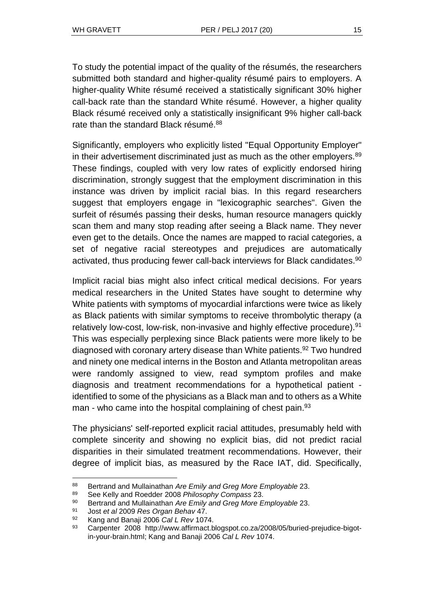To study the potential impact of the quality of the résumés, the researchers submitted both standard and higher-quality résumé pairs to employers. A higher-quality White résumé received a statistically significant 30% higher call-back rate than the standard White résumé. However, a higher quality Black résumé received only a statistically insignificant 9% higher call-back rate than the standard Black résumé.<sup>88</sup>

Significantly, employers who explicitly listed "Equal Opportunity Employer" in their advertisement discriminated just as much as the other employers. $89$ These findings, coupled with very low rates of explicitly endorsed hiring discrimination, strongly suggest that the employment discrimination in this instance was driven by implicit racial bias. In this regard researchers suggest that employers engage in "lexicographic searches". Given the surfeit of résumés passing their desks, human resource managers quickly scan them and many stop reading after seeing a Black name. They never even get to the details. Once the names are mapped to racial categories, a set of negative racial stereotypes and prejudices are automatically activated, thus producing fewer call-back interviews for Black candidates.<sup>90</sup>

Implicit racial bias might also infect critical medical decisions. For years medical researchers in the United States have sought to determine why White patients with symptoms of myocardial infarctions were twice as likely as Black patients with similar symptoms to receive thrombolytic therapy (a relatively low-cost, low-risk, non-invasive and highly effective procedure).<sup>91</sup> This was especially perplexing since Black patients were more likely to be diagnosed with coronary artery disease than White patients.<sup>92</sup> Two hundred and ninety one medical interns in the Boston and Atlanta metropolitan areas were randomly assigned to view, read symptom profiles and make diagnosis and treatment recommendations for a hypothetical patient identified to some of the physicians as a Black man and to others as a White man - who came into the hospital complaining of chest pain. $93$ 

The physicians' self-reported explicit racial attitudes, presumably held with complete sincerity and showing no explicit bias, did not predict racial disparities in their simulated treatment recommendations. However, their degree of implicit bias, as measured by the Race IAT, did. Specifically,

<sup>88</sup> Bertrand and Mullainathan *Are Emily and Greg More Employable* 23.

<sup>89</sup> See Kelly and Roedder 2008 *Philosophy Compass* 23.

<sup>90</sup> Bertrand and Mullainathan *Are Emily and Greg More Employable* 23.

<sup>91</sup> Jost *et al* 2009 *Res Organ Behav* 47.

<sup>92</sup> Kang and Banaji 2006 *Cal L Rev* 1074.

<sup>93</sup> Carpenter 2008 http:/[/www.affirmact.blogspot.co.za/2008/05/buried-prejudice-bigot](http://www.affirmact.blogspot.co.za/2008/05/buried-prejudice-bigot-in-your-brain.html)[in-your-brain.html;](http://www.affirmact.blogspot.co.za/2008/05/buried-prejudice-bigot-in-your-brain.html) Kang and Banaji 2006 *Cal L Rev* 1074.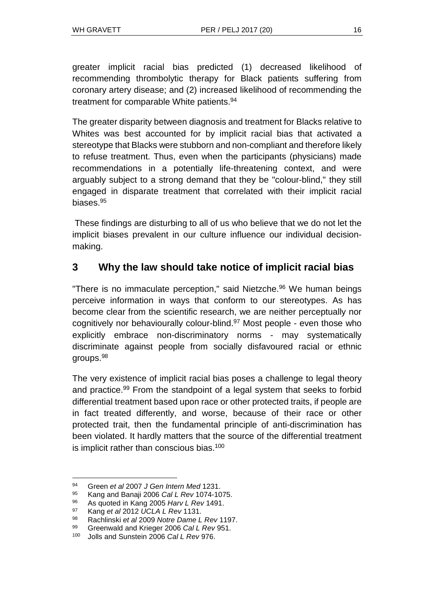greater implicit racial bias predicted (1) decreased likelihood of recommending thrombolytic therapy for Black patients suffering from coronary artery disease; and (2) increased likelihood of recommending the treatment for comparable White patients.<sup>94</sup>

The greater disparity between diagnosis and treatment for Blacks relative to Whites was best accounted for by implicit racial bias that activated a stereotype that Blacks were stubborn and non-compliant and therefore likely to refuse treatment. Thus, even when the participants (physicians) made recommendations in a potentially life-threatening context, and were arguably subject to a strong demand that they be "colour-blind," they still engaged in disparate treatment that correlated with their implicit racial biases.<sup>95</sup>

These findings are disturbing to all of us who believe that we do not let the implicit biases prevalent in our culture influence our individual decisionmaking.

### **3 Why the law should take notice of implicit racial bias**

"There is no immaculate perception," said Nietzche.<sup>96</sup> We human beings perceive information in ways that conform to our stereotypes. As has become clear from the scientific research, we are neither perceptually nor cognitively nor behaviourally colour-blind.<sup>97</sup> Most people - even those who explicitly embrace non-discriminatory norms - may systematically discriminate against people from socially disfavoured racial or ethnic groups.<sup>98</sup>

The very existence of implicit racial bias poses a challenge to legal theory and practice.<sup>99</sup> From the standpoint of a legal system that seeks to forbid differential treatment based upon race or other protected traits, if people are in fact treated differently, and worse, because of their race or other protected trait, then the fundamental principle of anti-discrimination has been violated. It hardly matters that the source of the differential treatment is implicit rather than conscious bias.<sup>100</sup>

<sup>94</sup> Green *et al* 2007 *J Gen Intern Med* 1231.

<sup>95</sup> Kang and Banaji 2006 *Cal L Rev* 1074-1075.

<sup>96</sup> As quoted in Kang 2005 *Harv L Rev* 1491.

<sup>97</sup> Kang *et al* 2012 *UCLA L Rev* 1131.

<sup>98</sup> Rachlinski *et al* 2009 *Notre Dame L Rev* 1197.

<sup>99</sup> Greenwald and Krieger 2006 *Cal L Rev* 951.

<sup>100</sup> Jolls and Sunstein 2006 *Cal L Rev* 976.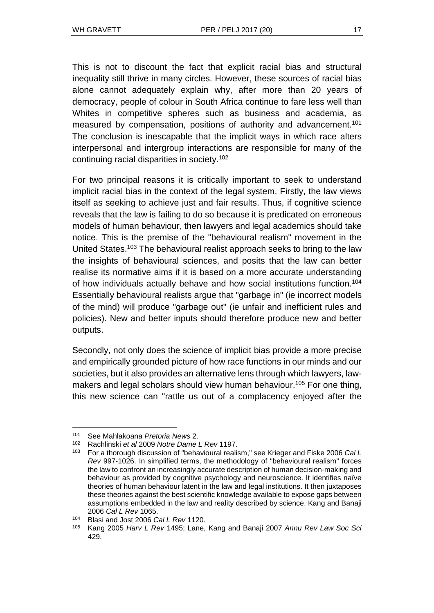This is not to discount the fact that explicit racial bias and structural inequality still thrive in many circles. However, these sources of racial bias alone cannot adequately explain why, after more than 20 years of democracy, people of colour in South Africa continue to fare less well than Whites in competitive spheres such as business and academia, as measured by compensation, positions of authority and advancement.<sup>101</sup> The conclusion is inescapable that the implicit ways in which race alters interpersonal and intergroup interactions are responsible for many of the continuing racial disparities in society.<sup>102</sup>

For two principal reasons it is critically important to seek to understand implicit racial bias in the context of the legal system. Firstly, the law views itself as seeking to achieve just and fair results. Thus, if cognitive science reveals that the law is failing to do so because it is predicated on erroneous models of human behaviour, then lawyers and legal academics should take notice. This is the premise of the "behavioural realism" movement in the United States.<sup>103</sup> The behavioural realist approach seeks to bring to the law the insights of behavioural sciences, and posits that the law can better realise its normative aims if it is based on a more accurate understanding of how individuals actually behave and how social institutions function.<sup>104</sup> Essentially behavioural realists argue that "garbage in" (ie incorrect models of the mind) will produce "garbage out" (ie unfair and inefficient rules and policies). New and better inputs should therefore produce new and better outputs.

Secondly, not only does the science of implicit bias provide a more precise and empirically grounded picture of how race functions in our minds and our societies, but it also provides an alternative lens through which lawyers, lawmakers and legal scholars should view human behaviour.<sup>105</sup> For one thing, this new science can "rattle us out of a complacency enjoyed after the

l <sup>101</sup> See Mahlakoana *Pretoria News* 2.

<sup>102</sup> Rachlinski *et al* 2009 *Notre Dame L Rev* 1197.

<sup>103</sup> For a thorough discussion of "behavioural realism," see Krieger and Fiske 2006 *Cal L Rev* 997-1026. In simplified terms, the methodology of "behavioural realism" forces the law to confront an increasingly accurate description of human decision-making and behaviour as provided by cognitive psychology and neuroscience. It identifies naïve theories of human behaviour latent in the law and legal institutions. It then juxtaposes these theories against the best scientific knowledge available to expose gaps between assumptions embedded in the law and reality described by science. Kang and Banaji 2006 *Cal L Rev* 1065.

<sup>104</sup> Blasi and Jost 2006 *Cal L Rev* 1120.

<sup>105</sup> Kang 2005 *Harv L Rev* 1495; Lane, Kang and Banaji 2007 *Annu Rev Law Soc Sci* 429.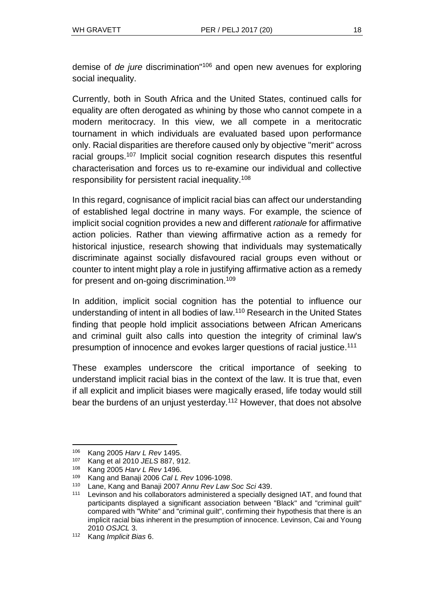demise of *de jure* discrimination"<sup>106</sup> and open new avenues for exploring social inequality.

Currently, both in South Africa and the United States, continued calls for equality are often derogated as whining by those who cannot compete in a modern meritocracy. In this view, we all compete in a meritocratic tournament in which individuals are evaluated based upon performance only. Racial disparities are therefore caused only by objective "merit" across racial groups.<sup>107</sup> Implicit social cognition research disputes this resentful characterisation and forces us to re-examine our individual and collective responsibility for persistent racial inequality.<sup>108</sup>

In this regard, cognisance of implicit racial bias can affect our understanding of established legal doctrine in many ways. For example, the science of implicit social cognition provides a new and different *rationale* for affirmative action policies. Rather than viewing affirmative action as a remedy for historical injustice, research showing that individuals may systematically discriminate against socially disfavoured racial groups even without or counter to intent might play a role in justifying affirmative action as a remedy for present and on-going discrimination.<sup>109</sup>

In addition, implicit social cognition has the potential to influence our understanding of intent in all bodies of law.<sup>110</sup> Research in the United States finding that people hold implicit associations between African Americans and criminal guilt also calls into question the integrity of criminal law's presumption of innocence and evokes larger questions of racial justice.<sup>111</sup>

These examples underscore the critical importance of seeking to understand implicit racial bias in the context of the law. It is true that, even if all explicit and implicit biases were magically erased, life today would still bear the burdens of an unjust yesterday.<sup>112</sup> However, that does not absolve

<sup>106</sup> Kang 2005 *Harv L Rev* 1495.

<sup>107</sup> Kang et al 2010 *JELS* 887, 912.

<sup>108</sup> Kang 2005 *Harv L Rev* 1496.

<sup>109</sup> Kang and Banaji 2006 *Cal L Rev* 1096-1098.

<sup>110</sup> Lane, Kang and Banaji 2007 *Annu Rev Law Soc Sci* 439.

<sup>111</sup> Levinson and his collaborators administered a specially designed IAT, and found that participants displayed a significant association between "Black" and "criminal guilt" compared with "White" and "criminal guilt", confirming their hypothesis that there is an implicit racial bias inherent in the presumption of innocence. Levinson, Cai and Young 2010 *OSJCL* 3.

<sup>112</sup> Kang *Implicit Bias* 6.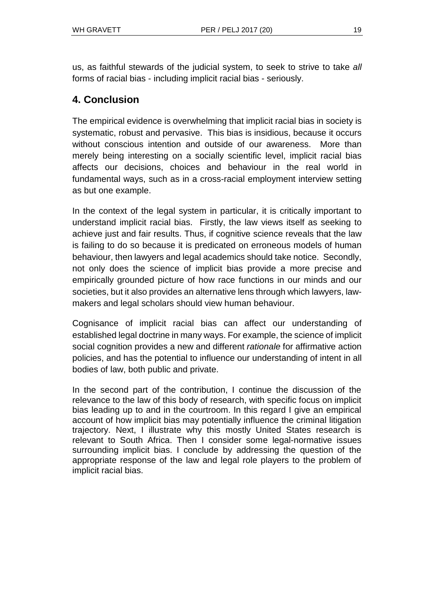us, as faithful stewards of the judicial system, to seek to strive to take *all* forms of racial bias - including implicit racial bias - seriously.

### **4. Conclusion**

The empirical evidence is overwhelming that implicit racial bias in society is systematic, robust and pervasive. This bias is insidious, because it occurs without conscious intention and outside of our awareness. More than merely being interesting on a socially scientific level, implicit racial bias affects our decisions, choices and behaviour in the real world in fundamental ways, such as in a cross-racial employment interview setting as but one example.

In the context of the legal system in particular, it is critically important to understand implicit racial bias. Firstly, the law views itself as seeking to achieve just and fair results. Thus, if cognitive science reveals that the law is failing to do so because it is predicated on erroneous models of human behaviour, then lawyers and legal academics should take notice. Secondly, not only does the science of implicit bias provide a more precise and empirically grounded picture of how race functions in our minds and our societies, but it also provides an alternative lens through which lawyers, lawmakers and legal scholars should view human behaviour.

Cognisance of implicit racial bias can affect our understanding of established legal doctrine in many ways. For example, the science of implicit social cognition provides a new and different *rationale* for affirmative action policies, and has the potential to influence our understanding of intent in all bodies of law, both public and private.

In the second part of the contribution, I continue the discussion of the relevance to the law of this body of research, with specific focus on implicit bias leading up to and in the courtroom. In this regard I give an empirical account of how implicit bias may potentially influence the criminal litigation trajectory. Next, I illustrate why this mostly United States research is relevant to South Africa. Then I consider some legal-normative issues surrounding implicit bias. I conclude by addressing the question of the appropriate response of the law and legal role players to the problem of implicit racial bias.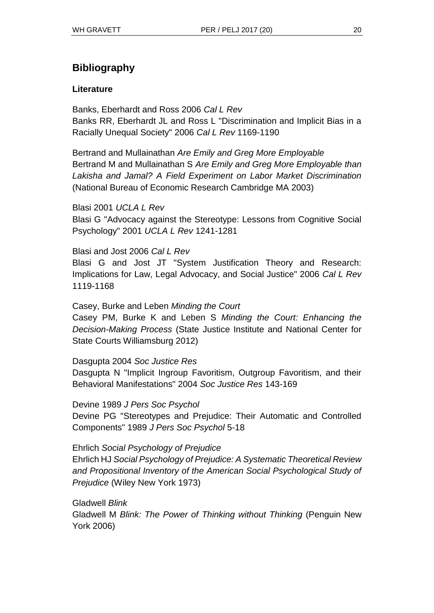## **Bibliography**

#### **Literature**

Banks, Eberhardt and Ross 2006 *Cal L Rev* Banks RR, Eberhardt JL and Ross L "Discrimination and Implicit Bias in a Racially Unequal Society" 2006 *Cal L Rev* 1169-1190

Bertrand and Mullainathan *Are Emily and Greg More Employable* Bertrand M and Mullainathan S *Are Emily and Greg More Employable than Lakisha and Jamal? A Field Experiment on Labor Market Discrimination* (National Bureau of Economic Research Cambridge MA 2003)

Blasi 2001 *UCLA L Rev* Blasi G "Advocacy against the Stereotype: Lessons from Cognitive Social Psychology" 2001 *UCLA L Rev* 1241-1281

Blasi and Jost 2006 *Cal L Rev* Blasi G and Jost JT "System Justification Theory and Research: Implications for Law, Legal Advocacy, and Social Justice" 2006 *Cal L Rev*  1119-1168

Casey, Burke and Leben *Minding the Court* Casey PM, Burke K and Leben S *Minding the Court: Enhancing the Decision-Making Process* (State Justice Institute and National Center for

State Courts Williamsburg 2012)

Dasgupta 2004 *Soc Justice Res*

Dasgupta N "Implicit Ingroup Favoritism, Outgroup Favoritism, and their Behavioral Manifestations" 2004 *Soc Justice Res* 143-169

Devine 1989 *J Pers Soc Psychol* Devine PG "Stereotypes and Prejudice: Their Automatic and Controlled Components" 1989 *J Pers Soc Psychol* 5-18

Ehrlich *Social Psychology of Prejudice*

Ehrlich HJ *Social Psychology of Prejudice: A Systematic Theoretical Review and Propositional Inventory of the American Social Psychological Study of Prejudice* (Wiley New York 1973)

Gladwell *Blink*

Gladwell M *Blink: The Power of Thinking without Thinking* (Penguin New York 2006)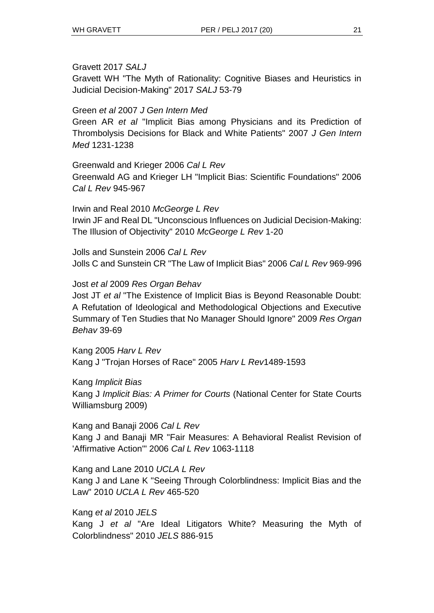#### Gravett 2017 *SALJ*

Gravett WH "The Myth of Rationality: Cognitive Biases and Heuristics in Judicial Decision-Making" 2017 *SALJ* 53-79

#### Green *et al* 2007 *J Gen Intern Med*

Green AR *et al* "Implicit Bias among Physicians and its Prediction of Thrombolysis Decisions for Black and White Patients" 2007 *J Gen Intern Med* 1231-1238

#### Greenwald and Krieger 2006 *Cal L Rev*

Greenwald AG and Krieger LH "Implicit Bias: Scientific Foundations" 2006 *Cal L Rev* 945-967

Irwin and Real 2010 *McGeorge L Rev* Irwin JF and Real DL "Unconscious Influences on Judicial Decision-Making: The Illusion of Objectivity" 2010 *McGeorge L Rev* 1-20

Jolls and Sunstein 2006 *Cal L Rev* Jolls C and Sunstein CR "The Law of Implicit Bias" 2006 *Cal L Rev* 969-996

#### Jost *et al* 2009 *Res Organ Behav*

Jost JT *et al* "The Existence of Implicit Bias is Beyond Reasonable Doubt: A Refutation of Ideological and Methodological Objections and Executive Summary of Ten Studies that No Manager Should Ignore" 2009 *Res Organ Behav* 39-69

Kang 2005 *Harv L Rev* Kang J "Trojan Horses of Race" 2005 *Harv L Rev*1489-1593

Kang *Implicit Bias* Kang J *Implicit Bias: A Primer for Courts* (National Center for State Courts Williamsburg 2009)

Kang and Banaji 2006 *Cal L Rev* Kang J and Banaji MR "Fair Measures: A Behavioral Realist Revision of 'Affirmative Action'" 2006 *Cal L Rev* 1063-1118

Kang and Lane 2010 *UCLA L Rev* Kang J and Lane K "Seeing Through Colorblindness: Implicit Bias and the Law" 2010 *UCLA L Rev* 465-520

Kang *et al* 2010 *JELS* Kang J *et al* "Are Ideal Litigators White? Measuring the Myth of Colorblindness" 2010 *JELS* 886-915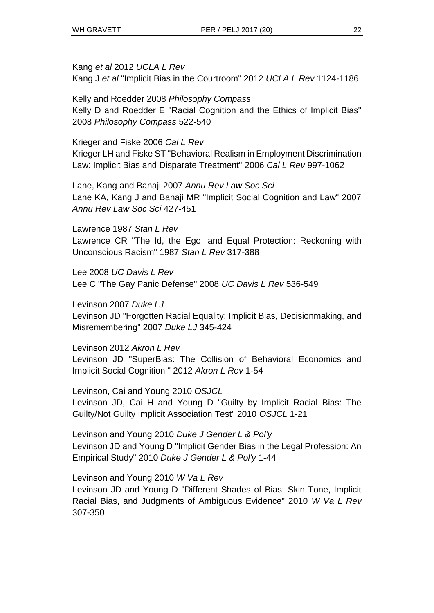Kang *et al* 2012 *UCLA L Rev* Kang J *et al* "Implicit Bias in the Courtroom" 2012 *UCLA L Rev* 1124-1186

Kelly and Roedder 2008 *Philosophy Compass* Kelly D and Roedder E "Racial Cognition and the Ethics of Implicit Bias" 2008 *Philosophy Compass* 522-540

Krieger and Fiske 2006 *Cal L Rev* Krieger LH and Fiske ST "Behavioral Realism in Employment Discrimination Law: Implicit Bias and Disparate Treatment" 2006 *Cal L Rev* 997-1062

Lane, Kang and Banaji 2007 *Annu Rev Law Soc Sci* Lane KA, Kang J and Banaji MR "Implicit Social Cognition and Law" 2007 *Annu Rev Law Soc Sci* 427-451

Lawrence 1987 *Stan L Rev* Lawrence CR "The Id, the Ego, and Equal Protection: Reckoning with Unconscious Racism" 1987 *Stan L Rev* 317-388

Lee 2008 *UC Davis L Rev* Lee C "The Gay Panic Defense" 2008 *UC Davis L Rev* 536-549

Levinson 2007 *Duke LJ* Levinson JD "Forgotten Racial Equality: Implicit Bias, Decisionmaking, and Misremembering" 2007 *Duke LJ* 345-424

Levinson 2012 *Akron L Rev* Levinson JD "SuperBias: The Collision of Behavioral Economics and Implicit Social Cognition " 2012 *Akron L Rev* 1-54

Levinson, Cai and Young 2010 *OSJCL* Levinson JD, Cai H and Young D "Guilty by Implicit Racial Bias: The Guilty/Not Guilty Implicit Association Test" 2010 *OSJCL* 1-21

Levinson and Young 2010 *Duke J Gender L & Pol'y* Levinson JD and Young D "Implicit Gender Bias in the Legal Profession: An Empirical Study" 2010 *Duke J Gender L & Pol'y* 1-44

Levinson and Young 2010 *W Va L Rev* Levinson JD and Young D "Different Shades of Bias: Skin Tone, Implicit Racial Bias, and Judgments of Ambiguous Evidence" 2010 *W Va L Rev*  307-350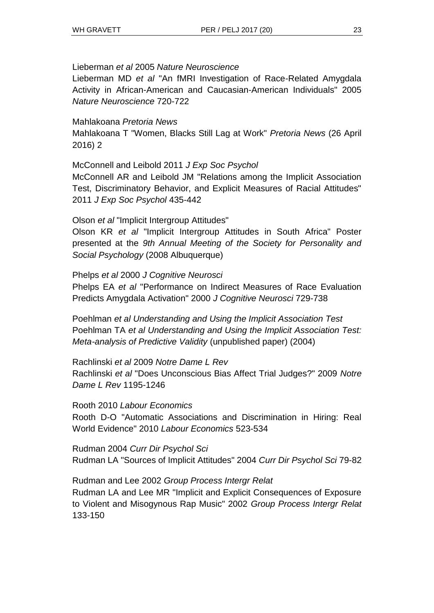#### Lieberman *et al* 2005 *Nature Neuroscience*

Lieberman MD *et al* "An fMRI Investigation of Race-Related Amygdala Activity in African-American and Caucasian-American Individuals" 2005 *Nature Neuroscience* 720-722

#### Mahlakoana *Pretoria News*

Mahlakoana T "Women, Blacks Still Lag at Work" *Pretoria News* (26 April 2016) 2

McConnell and Leibold 2011 *J Exp Soc Psychol*

McConnell AR and Leibold JM "Relations among the Implicit Association Test, Discriminatory Behavior, and Explicit Measures of Racial Attitudes" 2011 *J Exp Soc Psychol* 435-442

#### Olson *et al* "Implicit Intergroup Attitudes"

Olson KR *et al* "Implicit Intergroup Attitudes in South Africa" Poster presented at the *9th Annual Meeting of the Society for Personality and Social Psychology* (2008 Albuquerque)

#### Phelps *et al* 2000 *J Cognitive Neurosci*

Phelps EA *et al* "Performance on Indirect Measures of Race Evaluation Predicts Amygdala Activation" 2000 *J Cognitive Neurosci* 729-738

Poehlman *et al Understanding and Using the Implicit Association Test* Poehlman TA *et al Understanding and Using the Implicit Association Test: Meta-analysis of Predictive Validity* (unpublished paper) (2004)

Rachlinski *et al* 2009 *Notre Dame L Rev*

Rachlinski *et al* "Does Unconscious Bias Affect Trial Judges?" 2009 *Notre Dame L Rev* 1195-1246

#### Rooth 2010 *Labour Economics*

Rooth D-O "Automatic Associations and Discrimination in Hiring: Real World Evidence" 2010 *Labour Economics* 523-534

#### Rudman 2004 *Curr Dir Psychol Sci*

Rudman LA "Sources of Implicit Attitudes" 2004 *Curr Dir Psychol Sci* 79-82

Rudman and Lee 2002 *Group Process Intergr Relat*

Rudman LA and Lee MR "Implicit and Explicit Consequences of Exposure to Violent and Misogynous Rap Music" 2002 *Group Process Intergr Relat*  133-150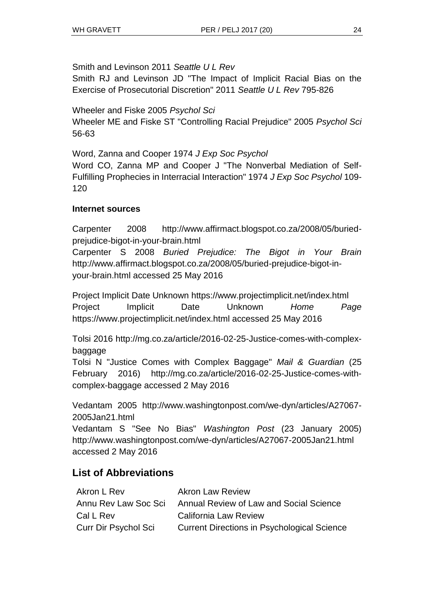Smith and Levinson 2011 *Seattle U L Rev*

Smith RJ and Levinson JD "The Impact of Implicit Racial Bias on the Exercise of Prosecutorial Discretion" 2011 *Seattle U L Rev* 795-826

Wheeler and Fiske 2005 *Psychol Sci* Wheeler ME and Fiske ST "Controlling Racial Prejudice" 2005 *Psychol Sci*  56-63

Word, Zanna and Cooper 1974 *J Exp Soc Psychol* Word CO, Zanna MP and Cooper J "The Nonverbal Mediation of Self-Fulfilling Prophecies in Interracial Interaction" 1974 *J Exp Soc Psychol* 109- 120

### **Internet sources**

Carpenter 2008 http://www.affirmact.blogspot.co.za/2008/05/buriedprejudice-bigot-in-your-brain.html

Carpenter S 2008 *Buried Prejudice: The Bigot in Your Brain* http://www.affirmact.blogspot.co.za/2008/05/buried-prejudice-bigot-inyour-brain.html accessed 25 May 2016

Project Implicit Date Unknown https://www.projectimplicit.net/index.html Project Implicit Date Unknown *Home Page* https://www.projectimplicit.net/index.html accessed 25 May 2016

Tolsi 2016 [http://mg.co.za/article/2016-02-25-Justice-comes-](http://mg.co.za/article/2016-02-25-Justice-comes)with-complexbaggage

Tolsi N "Justice Comes with Complex Baggage" *Mail & Guardian* (25 February 2016) http://mg.co.za/article/2016-02-25-Justice-comes-withcomplex-baggage accessed 2 May 2016

Vedantam 2005 http:/[/www.washingtonpost.com/we-dyn/articles/A27067-](http://www.washingtonpost.com/we-dyn/articles/A27067-2005Jan21.html) [2005Jan21.html](http://www.washingtonpost.com/we-dyn/articles/A27067-2005Jan21.html)

Vedantam S "See No Bias" *Washington Post* (23 January 2005) <http://www.washingtonpost.com/we-dyn/articles/A27067-2005Jan21.html> accessed 2 May 2016

## **List of Abbreviations**

| Akron L Rev                 | <b>Akron Law Review</b>                            |
|-----------------------------|----------------------------------------------------|
| Annu Rev Law Soc Sci        | Annual Review of Law and Social Science            |
| Cal L Rev                   | <b>California Law Review</b>                       |
| <b>Curr Dir Psychol Sci</b> | <b>Current Directions in Psychological Science</b> |